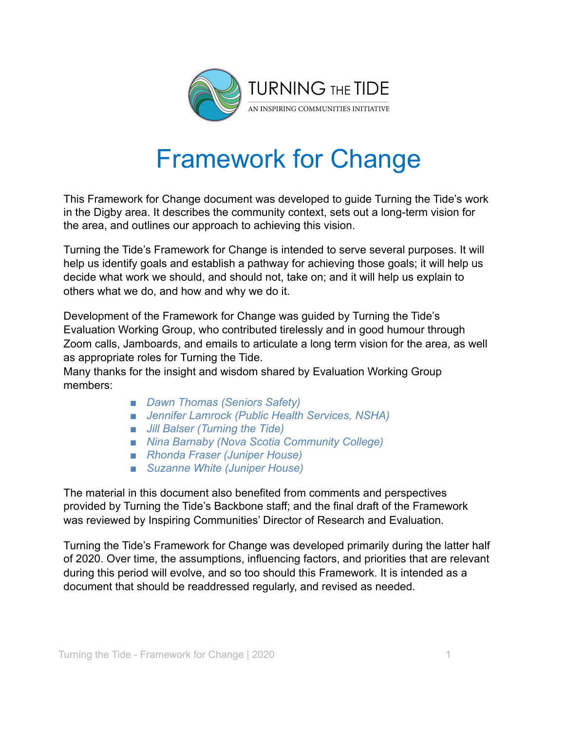

# Framework for Change

This Framework for Change document was developed to guide Turning the Tide's work in the Digby area. It describes the community context, sets out a long-term vision for the area, and outlines our approach to achieving this vision.

Turning the Tide's Framework for Change is intended to serve several purposes. It will help us identify goals and establish a pathway for achieving those goals; it will help us decide what work we should, and should not, take on; and it will help us explain to others what we do, and how and why we do it.

Development of the Framework for Change was guided by Turning the Tide's Evaluation Working Group, who contributed tirelessly and in good humour through Zoom calls, Jamboards, and emails to articulate a long term vision for the area, as well as appropriate roles for Turning the Tide.

Many thanks for the insight and wisdom shared by Evaluation Working Group members:

- *■ Dawn Thomas (Seniors Safety)*
- *■ Jennifer Lamrock (Public Health Services, NSHA)*
- *■ Jill Balser (Turning the Tide)*
- *■ Nina Barnaby (Nova Scotia Community College)*
- *■ Rhonda Fraser (Juniper House)*
- *■ Suzanne White (Juniper House)*

The material in this document also benefited from comments and perspectives provided by Turning the Tide's Backbone staff; and the final draft of the Framework was reviewed by Inspiring Communities' Director of Research and Evaluation.

Turning the Tide's Framework for Change was developed primarily during the latter half of 2020. Over time, the assumptions, influencing factors, and priorities that are relevant during this period will evolve, and so too should this Framework. It is intended as a document that should be readdressed regularly, and revised as needed.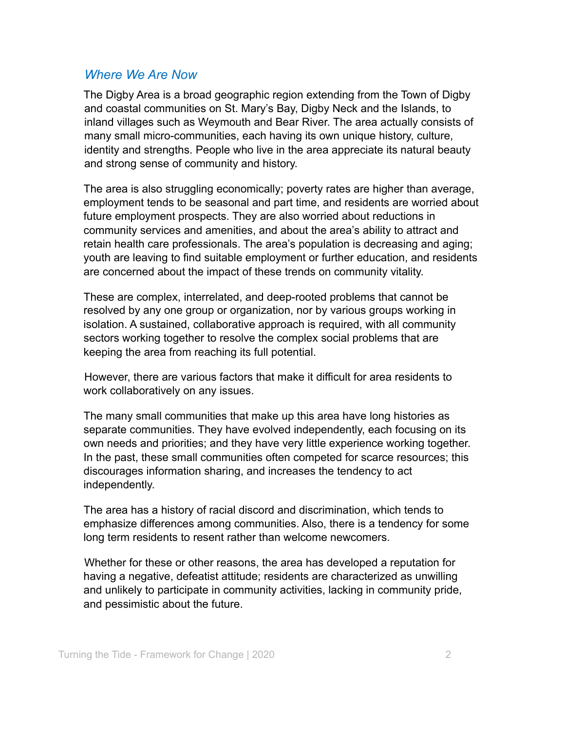## *Where We Are Now*

The Digby Area is a broad geographic region extending from the Town of Digby and coastal communities on St. Mary's Bay, Digby Neck and the Islands, to inland villages such as Weymouth and Bear River. The area actually consists of many small micro-communities, each having its own unique history, culture, identity and strengths. People who live in the area appreciate its natural beauty and strong sense of community and history.

The area is also struggling economically; poverty rates are higher than average, employment tends to be seasonal and part time, and residents are worried about future employment prospects. They are also worried about reductions in community services and amenities, and about the area's ability to attract and retain health care professionals. The area's population is decreasing and aging; youth are leaving to find suitable employment or further education, and residents are concerned about the impact of these trends on community vitality.

These are complex, interrelated, and deep-rooted problems that cannot be resolved by any one group or organization, nor by various groups working in isolation. A sustained, collaborative approach is required, with all community sectors working together to resolve the complex social problems that are keeping the area from reaching its full potential.

However, there are various factors that make it difficult for area residents to work collaboratively on any issues.

The many small communities that make up this area have long histories as separate communities. They have evolved independently, each focusing on its own needs and priorities; and they have very little experience working together. In the past, these small communities often competed for scarce resources; this discourages information sharing, and increases the tendency to act independently.

The area has a history of racial discord and discrimination, which tends to emphasize differences among communities. Also, there is a tendency for some long term residents to resent rather than welcome newcomers.

Whether for these or other reasons, the area has developed a reputation for having a negative, defeatist attitude; residents are characterized as unwilling and unlikely to participate in community activities, lacking in community pride, and pessimistic about the future.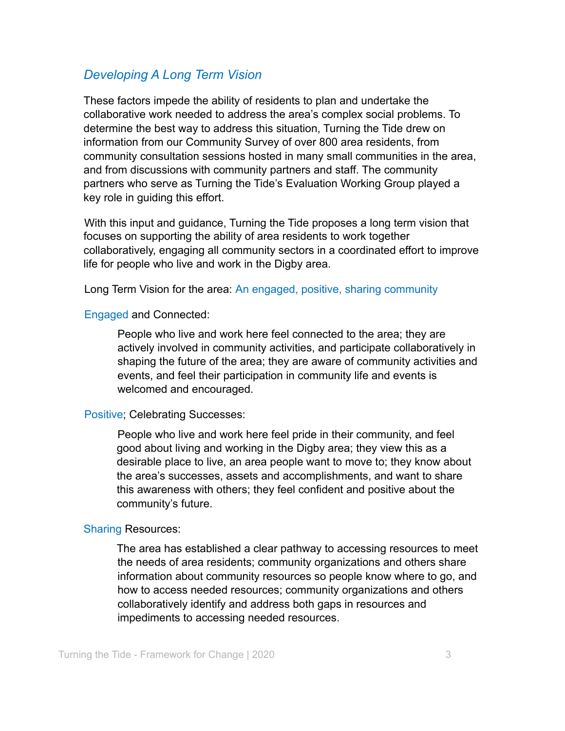# *Developing A Long Term Vision*

These factors impede the ability of residents to plan and undertake the collaborative work needed to address the area's complex social problems. To determine the best way to address this situation, Turning the Tide drew on information from our Community Survey of over 800 area residents, from community consultation sessions hosted in many small communities in the area, and from discussions with community partners and staff. The community partners who serve as Turning the Tide's Evaluation Working Group played a key role in guiding this effort.

With this input and guidance, Turning the Tide proposes a long term vision that focuses on supporting the ability of area residents to work together collaboratively, engaging all community sectors in a coordinated effort to improve life for people who live and work in the Digby area.

Long Term Vision for the area: An engaged, positive, sharing community

#### Engaged and Connected:

People who live and work here feel connected to the area; they are actively involved in community activities, and participate collaboratively in shaping the future of the area; they are aware of community activities and events, and feel their participation in community life and events is welcomed and encouraged.

#### Positive; Celebrating Successes:

People who live and work here feel pride in their community, and feel good about living and working in the Digby area; they view this as a desirable place to live, an area people want to move to; they know about the area's successes, assets and accomplishments, and want to share this awareness with others; they feel confident and positive about the community's future.

#### Sharing Resources:

The area has established a clear pathway to accessing resources to meet the needs of area residents; community organizations and others share information about community resources so people know where to go, and how to access needed resources; community organizations and others collaboratively identify and address both gaps in resources and impediments to accessing needed resources.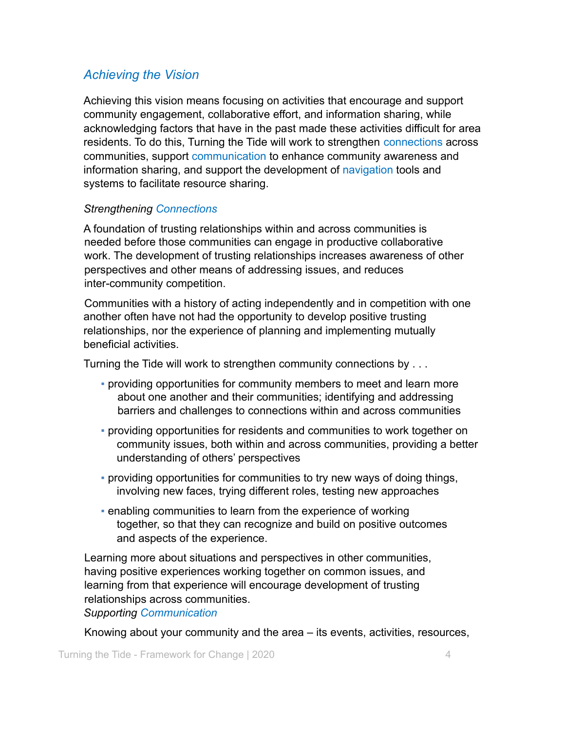# *Achieving the Vision*

Achieving this vision means focusing on activities that encourage and support community engagement, collaborative effort, and information sharing, while acknowledging factors that have in the past made these activities difficult for area residents. To do this, Turning the Tide will work to strengthen connections across communities, support communication to enhance community awareness and information sharing, and support the development of navigation tools and systems to facilitate resource sharing.

### *Strengthening Connections*

A foundation of trusting relationships within and across communities is needed before those communities can engage in productive collaborative work. The development of trusting relationships increases awareness of other perspectives and other means of addressing issues, and reduces inter-community competition.

Communities with a history of acting independently and in competition with one another often have not had the opportunity to develop positive trusting relationships, nor the experience of planning and implementing mutually beneficial activities.

Turning the Tide will work to strengthen community connections by . . .

- providing opportunities for community members to meet and learn more about one another and their communities; identifying and addressing barriers and challenges to connections within and across communities
- providing opportunities for residents and communities to work together on community issues, both within and across communities, providing a better understanding of others' perspectives
- providing opportunities for communities to try new ways of doing things, involving new faces, trying different roles, testing new approaches
- **EXECT** enabling communities to learn from the experience of working together, so that they can recognize and build on positive outcomes and aspects of the experience.

Learning more about situations and perspectives in other communities, having positive experiences working together on common issues, and learning from that experience will encourage development of trusting relationships across communities.

*Supporting Communication*

Knowing about your community and the area – its events, activities, resources,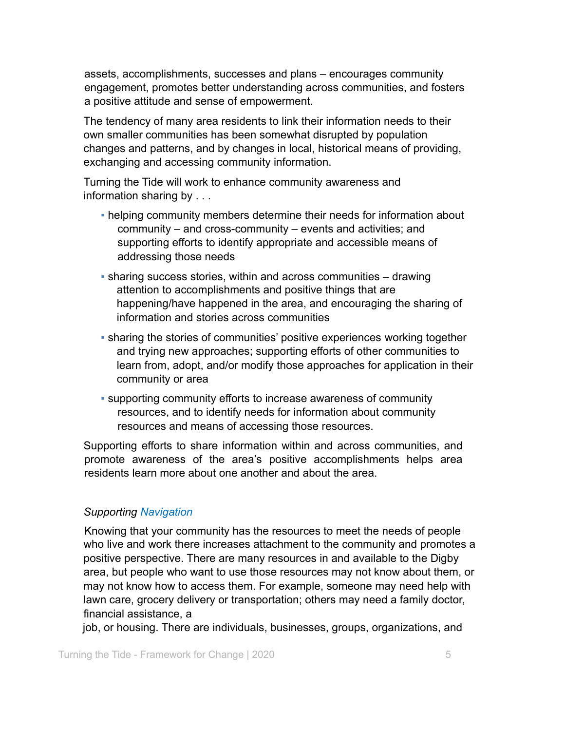assets, accomplishments, successes and plans – encourages community engagement, promotes better understanding across communities, and fosters a positive attitude and sense of empowerment.

The tendency of many area residents to link their information needs to their own smaller communities has been somewhat disrupted by population changes and patterns, and by changes in local, historical means of providing, exchanging and accessing community information.

Turning the Tide will work to enhance community awareness and information sharing by . . .

- helping community members determine their needs for information about community – and cross-community – events and activities; and supporting efforts to identify appropriate and accessible means of addressing those needs
- sharing success stories, within and across communities drawing attention to accomplishments and positive things that are happening/have happened in the area, and encouraging the sharing of information and stories across communities
- **sharing the stories of communities' positive experiences working together** and trying new approaches; supporting efforts of other communities to learn from, adopt, and/or modify those approaches for application in their community or area
- supporting community efforts to increase awareness of community resources, and to identify needs for information about community resources and means of accessing those resources.

Supporting efforts to share information within and across communities, and promote awareness of the area's positive accomplishments helps area residents learn more about one another and about the area.

### *Supporting Navigation*

Knowing that your community has the resources to meet the needs of people who live and work there increases attachment to the community and promotes a positive perspective. There are many resources in and available to the Digby area, but people who want to use those resources may not know about them, or may not know how to access them. For example, someone may need help with lawn care, grocery delivery or transportation; others may need a family doctor, financial assistance, a

job, or housing. There are individuals, businesses, groups, organizations, and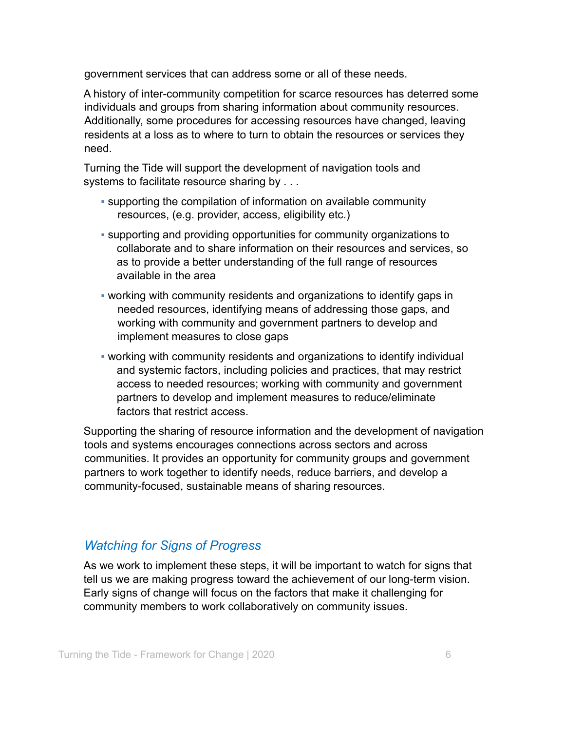government services that can address some or all of these needs.

A history of inter-community competition for scarce resources has deterred some individuals and groups from sharing information about community resources. Additionally, some procedures for accessing resources have changed, leaving residents at a loss as to where to turn to obtain the resources or services they need.

Turning the Tide will support the development of navigation tools and systems to facilitate resource sharing by . . .

- supporting the compilation of information on available community resources, (e.g. provider, access, eligibility etc.)
- supporting and providing opportunities for community organizations to collaborate and to share information on their resources and services, so as to provide a better understanding of the full range of resources available in the area
- working with community residents and organizations to identify gaps in needed resources, identifying means of addressing those gaps, and working with community and government partners to develop and implement measures to close gaps
- working with community residents and organizations to identify individual and systemic factors, including policies and practices, that may restrict access to needed resources; working with community and government partners to develop and implement measures to reduce/eliminate factors that restrict access.

Supporting the sharing of resource information and the development of navigation tools and systems encourages connections across sectors and across communities. It provides an opportunity for community groups and government partners to work together to identify needs, reduce barriers, and develop a community-focused, sustainable means of sharing resources.

# *Watching for Signs of Progress*

As we work to implement these steps, it will be important to watch for signs that tell us we are making progress toward the achievement of our long-term vision. Early signs of change will focus on the factors that make it challenging for community members to work collaboratively on community issues.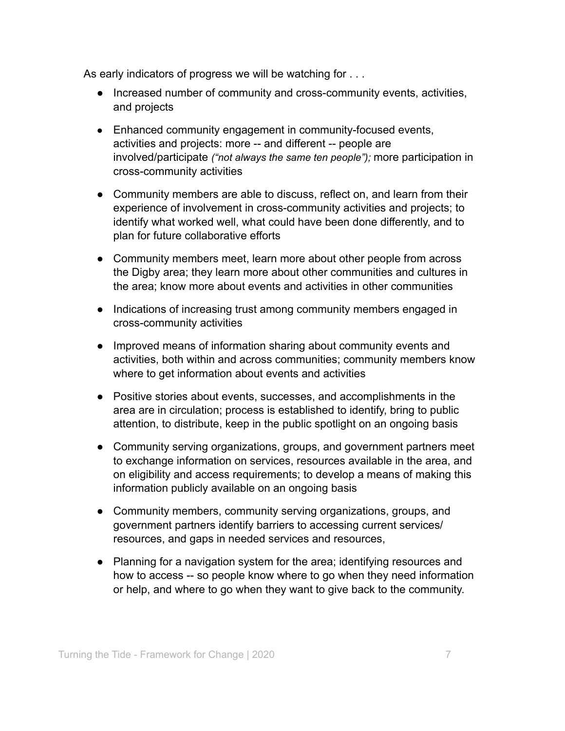As early indicators of progress we will be watching for . . .

- Increased number of community and cross-community events, activities, and projects
- Enhanced community engagement in community-focused events, activities and projects: more -- and different -- people are involved/participate *("not always the same ten people");* more participation in cross-community activities
- Community members are able to discuss, reflect on, and learn from their experience of involvement in cross-community activities and projects; to identify what worked well, what could have been done differently, and to plan for future collaborative efforts
- Community members meet, learn more about other people from across the Digby area; they learn more about other communities and cultures in the area; know more about events and activities in other communities
- Indications of increasing trust among community members engaged in cross-community activities
- Improved means of information sharing about community events and activities, both within and across communities; community members know where to get information about events and activities
- Positive stories about events, successes, and accomplishments in the area are in circulation; process is established to identify, bring to public attention, to distribute, keep in the public spotlight on an ongoing basis
- Community serving organizations, groups, and government partners meet to exchange information on services, resources available in the area, and on eligibility and access requirements; to develop a means of making this information publicly available on an ongoing basis
- Community members, community serving organizations, groups, and government partners identify barriers to accessing current services/ resources, and gaps in needed services and resources,
- Planning for a navigation system for the area; identifying resources and how to access -- so people know where to go when they need information or help, and where to go when they want to give back to the community.